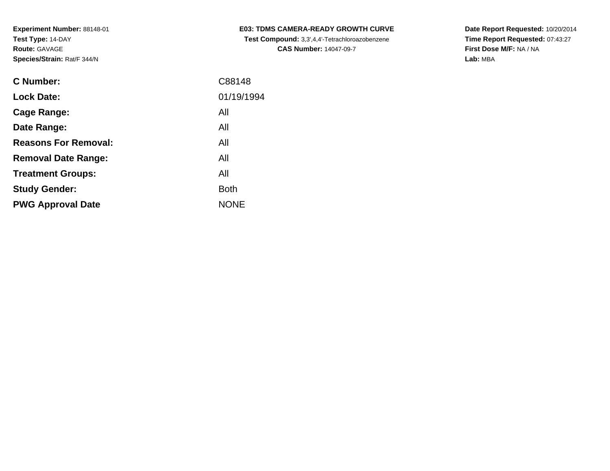| <b>C Number:</b>            | C88148      |
|-----------------------------|-------------|
| <b>Lock Date:</b>           | 01/19/1994  |
| <b>Cage Range:</b>          | All         |
| Date Range:                 | All         |
| <b>Reasons For Removal:</b> | All         |
| <b>Removal Date Range:</b>  | All         |
| <b>Treatment Groups:</b>    | All         |
| <b>Study Gender:</b>        | <b>Both</b> |
| <b>PWG Approval Date</b>    | <b>NONE</b> |
|                             |             |

**E03: TDMS CAMERA-READY GROWTH CURVE Test Compound:** 3,3',4,4'-Tetrachloroazobenzene**CAS Number:** 14047-09-7

**Date Report Requested:** 10/20/2014 **Time Report Requested:** 07:43:27**First Dose M/F:** NA / NA**Lab:** MBA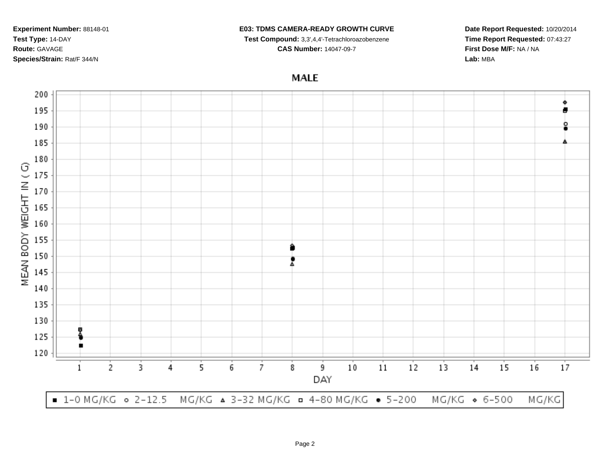#### **E03: TDMS CAMERA-READY GROWTH CURVE**

**Test Compound:** 3,3',4,4'-Tetrachloroazobenzene

**CAS Number:** 14047-09-7

**Date Report Requested:** 10/20/2014**Time Report Requested:** 07:43:27**First Dose M/F:** NA / NA**Lab:** MBA

# **MALE**

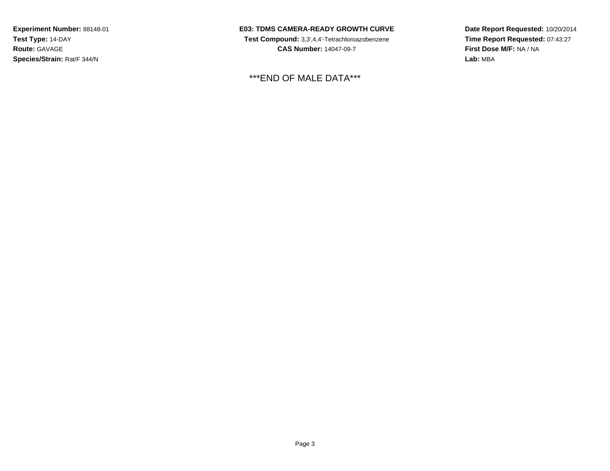**E03: TDMS CAMERA-READY GROWTH CURVE**

 **Test Compound:** 3,3',4,4'-Tetrachloroazobenzene**CAS Number:** 14047-09-7

\*\*\*END OF MALE DATA\*\*\*

**Date Report Requested:** 10/20/2014**Time Report Requested:** 07:43:27**First Dose M/F:** NA / NA**Lab:** MBA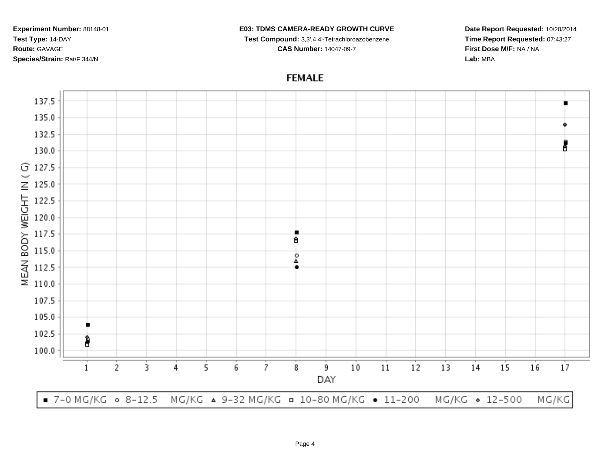#### **E03: TDMS CAMERA-READY GROWTH CURVE**

**Test Compound:** 3,3',4,4'-Tetrachloroazobenzene

**CAS Number:** 14047-09-7

**Date Report Requested:** 10/20/2014**Time Report Requested:** 07:43:27**First Dose M/F:** NA / NA**Lab:** MBA

## **FEMALE**